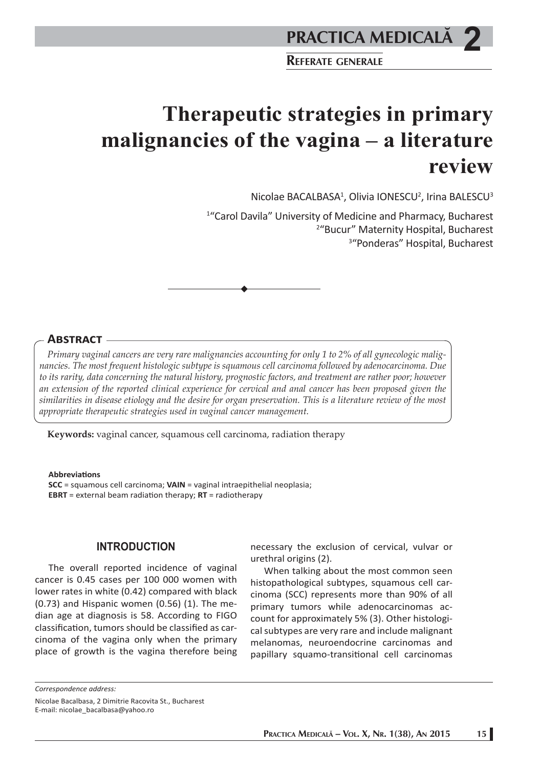**REFERATE GENERALE**

# **Therapeutic strategies in primary malignancies of the vagina – a literature review**

Nicolae BACALBASA<sup>1</sup>, Olivia IONESCU<sup>2</sup>, Irina BALESCU<sup>3</sup>

1 "Carol Davila" University of Medicine and Pharmacy, Bucharest 2 "Bucur" Maternity Hospital, Bucharest 3 "Ponderas" Hospital, Bucharest

# **ABSTRACT**

*Primary vaginal cancers are very rare malignancies accounting for only 1 to 2% of all gynecologic malignancies. The most frequent histologic subtype is squamous cell carcinoma followed by adenocarcinoma. Due to its rarity, data concerning the natural history, prognostic factors, and treatment are rather poor; however an extension of the reported clinical experience for cervical and anal cancer has been proposed given the similarities in disease etiology and the desire for organ preservation. This is a literature review of the most appropriate therapeutic strategies used in vaginal cancer management.* 

**Keywords:** vaginal cancer, squamous cell carcinoma, radiation therapy

**Abbreviati ons** 

**SCC** = squamous cell carcinoma; **VAIN** = vaginal intraepithelial neoplasia; **EBRT** = external beam radiation therapy;  $RT$  = radiotherapy

# **INTRODUCTION**

The overall reported incidence of vaginal cancer is 0.45 cases per 100 000 women with lower rates in white (0.42) compared with black (0.73) and Hispanic women (0.56) (1). The median age at diagnosis is 58. According to FIGO classification, tumors should be classified as carcinoma of the vagina only when the primary place of growth is the vagina therefore being

necessary the exclusion of cervical, vulvar or urethral origins (2).

When talking about the most common seen histopathological subtypes, squamous cell carcinoma (SCC) represents more than 90% of all primary tumors while adenocarcinomas account for approximately 5% (3). Other histological subtypes are very rare and include malignant melanomas, neuroendocrine carcinomas and papillary squamo-transitional cell carcinomas

*Correspondence address:* Nicolae Bacalbasa, 2 Dimitrie Racovita St., Bucharest E-mail: nicolae\_bacalbasa@yahoo.ro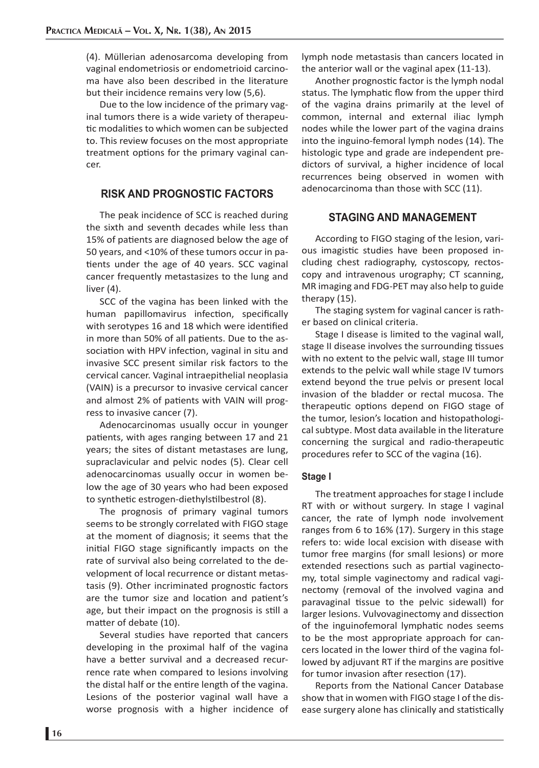(4). Müllerian adenosarcoma developing from vaginal endometriosis or endometrioid carcinoma have also been described in the literature but their incidence remains very low (5,6).

Due to the low incidence of the primary vaginal tumors there is a wide variety of therapeutic modalities to which women can be subjected to. This review focuses on the most appropriate treatment options for the primary vaginal cancer.

# **RISK AND PROGNOSTIC FACTORS**

The peak incidence of SCC is reached during the sixth and seventh decades while less than 15% of patients are diagnosed below the age of 50 years, and <10% of these tumors occur in patients under the age of 40 years. SCC vaginal cancer frequently metastasizes to the lung and liver (4).

SCC of the vagina has been linked with the human papillomavirus infection, specifically with serotypes 16 and 18 which were identified in more than 50% of all patients. Due to the association with HPV infection, vaginal in situ and invasive SCC present similar risk factors to the cervical cancer. Vaginal intraepithelial neoplasia (VAIN) is a precursor to invasive cervical cancer and almost 2% of patients with VAIN will progress to invasive cancer (7).

Adenocarcinomas usually occur in younger patients, with ages ranging between 17 and 21 years; the sites of distant metastases are lung, supraclavicular and pelvic nodes (5). Clear cell adenocarcinomas usually occur in women below the age of 30 years who had been exposed to synthetic estrogen-diethylstilbestrol (8).

The prognosis of primary vaginal tumors seems to be strongly correlated with FIGO stage at the moment of diagnosis; it seems that the initial FIGO stage significantly impacts on the rate of survival also being correlated to the development of local recurrence or distant metastasis (9). Other incriminated prognostic factors are the tumor size and location and patient's age, but their impact on the prognosis is still a matter of debate (10).

Several studies have reported that cancers developing in the proximal half of the vagina have a better survival and a decreased recurrence rate when compared to lesions involving the distal half or the entire length of the vagina. Lesions of the posterior vaginal wall have a worse prognosis with a higher incidence of

lymph node metastasis than cancers located in the anterior wall or the vaginal apex (11-13).

Another prognostic factor is the lymph nodal status. The lymphatic flow from the upper third of the vagina drains primarily at the level of common, internal and external iliac lymph nodes while the lower part of the vagina drains into the inguino-femoral lymph nodes (14). The histologic type and grade are independent predictors of survival, a higher incidence of local recurrences being observed in women with adenocarcinoma than those with SCC (11).

# **STAGING AND MANAGEMENT**

According to FIGO staging of the lesion, various imagistic studies have been proposed including chest radiography, cystoscopy, rectoscopy and intravenous urography; CT scanning, MR imaging and FDG-PET may also help to guide therapy (15).

The staging system for vaginal cancer is rather based on clinical criteria.

Stage I disease is limited to the vaginal wall, stage II disease involves the surrounding tissues with no extent to the pelvic wall, stage III tumor extends to the pelvic wall while stage IV tumors extend beyond the true pelvis or present local invasion of the bladder or rectal mucosa. The therapeutic options depend on FIGO stage of the tumor, lesion's location and histopathological subtype. Most data available in the literature concerning the surgical and radio-therapeutic procedures refer to SCC of the vagina (16).

## **Stage I**

The treatment approaches for stage I include RT with or without surgery. In stage I vaginal cancer, the rate of lymph node involvement ranges from 6 to 16% (17). Surgery in this stage refers to: wide local excision with disease with tumor free margins (for small lesions) or more extended resections such as partial vaginectomy, total simple vaginectomy and radical vaginectomy (removal of the involved vagina and paravaginal tissue to the pelvic sidewall) for larger lesions. Vulvovaginectomy and dissection of the inguinofemoral lymphatic nodes seems to be the most appropriate approach for cancers located in the lower third of the vagina followed by adjuvant RT if the margins are positive for tumor invasion after resection (17).

Reports from the National Cancer Database show that in women with FIGO stage I of the disease surgery alone has clinically and statistically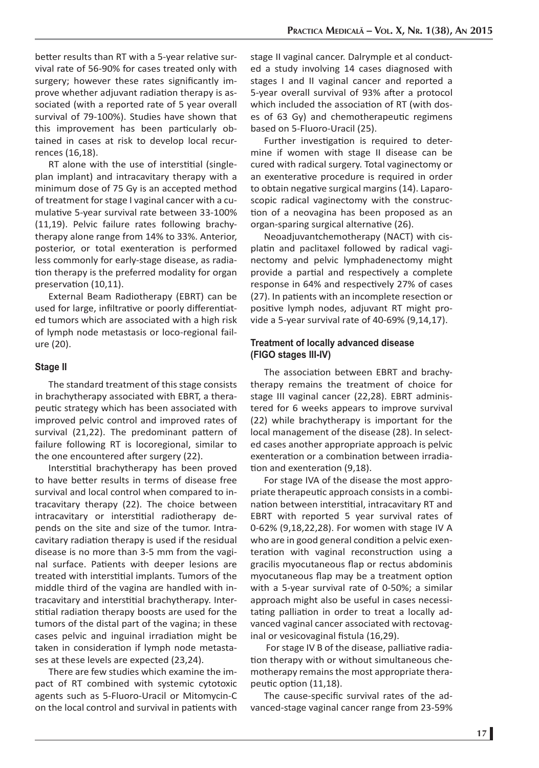better results than RT with a 5-year relative survival rate of 56-90% for cases treated only with surgery; however these rates significantly improve whether adjuvant radiation therapy is associated (with a reported rate of 5 year overall survival of 79-100%). Studies have shown that this improvement has been particularly obtained in cases at risk to develop local recurrences (16,18).

RT alone with the use of interstitial (singleplan implant) and intracavitary therapy with a minimum dose of 75 Gy is an accepted method of treatment for stage I vaginal cancer with a cumulative 5-year survival rate between 33-100% (11,19). Pelvic failure rates following brachytherapy alone range from 14% to 33%. Anterior, posterior, or total exenteration is performed less commonly for early-stage disease, as radiation therapy is the preferred modality for organ preservation (10,11).

External Beam Radiotherapy (EBRT) can be used for large, infiltrative or poorly differentiated tumors which are associated with a high risk of lymph node metastasis or loco-regional failure (20).

## **Stage II**

The standard treatment of this stage consists in brachytherapy associated with EBRT, a therapeutic strategy which has been associated with improved pelvic control and improved rates of survival (21,22). The predominant pattern of failure following RT is locoregional, similar to the one encountered after surgery (22).

Interstitial brachytherapy has been proved to have better results in terms of disease free survival and local control when compared to intracavitary therapy (22). The choice between intracavitary or interstitial radiotherapy depends on the site and size of the tumor. Intracavitary radiation therapy is used if the residual disease is no more than 3-5 mm from the vaginal surface. Patients with deeper lesions are treated with interstitial implants. Tumors of the middle third of the vagina are handled with intracavitary and interstitial brachytherapy. Interstitial radiation therapy boosts are used for the tumors of the distal part of the vagina; in these cases pelvic and inguinal irradiation might be taken in consideration if lymph node metastases at these levels are expected (23,24).

There are few studies which examine the impact of RT combined with systemic cytotoxic agents such as 5-Fluoro-Uracil or Mitomycin-C on the local control and survival in patients with stage II vaginal cancer. Dalrymple et al conducted a study involving 14 cases diagnosed with stages I and II vaginal cancer and reported a 5-year overall survival of 93% after a protocol which included the association of RT (with doses of 63 Gy) and chemotherapeutic regimens based on 5-Fluoro-Uracil (25).

Further investigation is required to determine if women with stage II disease can be cured with radical surgery. Total vaginectomy or an exenterative procedure is required in order to obtain negative surgical margins (14). Laparoscopic radical vaginectomy with the construction of a neovagina has been proposed as an organ-sparing surgical alternative (26).

Neoadjuvantchemotherapy (NACT) with cisplatin and paclitaxel followed by radical vaginectomy and pelvic lymphadenectomy might provide a partial and respectively a complete response in 64% and respectively 27% of cases (27). In patients with an incomplete resection or positive lymph nodes, adjuvant RT might provide a 5-year survival rate of 40-69% (9,14,17).

# **Treatment of locally advanced disease (FIGO stages III-IV)**

The association between EBRT and brachytherapy remains the treatment of choice for stage III vaginal cancer (22,28). EBRT administered for 6 weeks appears to improve survival (22) while brachytherapy is important for the local management of the disease (28). In selected cases another appropriate approach is pelvic exenteration or a combination between irradiation and exenteration (9.18).

For stage IVA of the disease the most appropriate therapeutic approach consists in a combination between interstitial, intracavitary RT and EBRT with reported 5 year survival rates of 0-62% (9,18,22,28). For women with stage IV A who are in good general condition a pelvic exenteration with vaginal reconstruction using a gracilis myocutaneous flap or rectus abdominis myocutaneous flap may be a treatment option with a 5-year survival rate of 0-50%; a similar approach might also be useful in cases necessitating palliation in order to treat a locally advanced vaginal cancer associated with rectovaginal or vesicovaginal fistula (16,29).

For stage IV B of the disease, palliative radiation therapy with or without simultaneous chemotherapy remains the most appropriate therapeutic option (11,18).

The cause-specific survival rates of the advanced-stage vaginal cancer range from 23-59%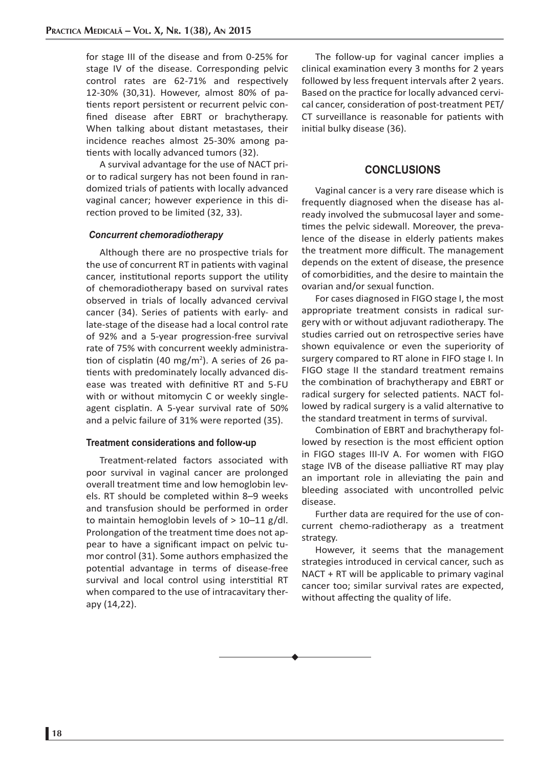for stage III of the disease and from 0-25% for stage IV of the disease. Corresponding pelvic control rates are 62-71% and respectively 12-30% (30,31). However, almost 80% of patients report persistent or recurrent pelvic confined disease after EBRT or brachytherapy. When talking about distant metastases, their incidence reaches almost 25-30% among patients with locally advanced tumors (32).

A survival advantage for the use of NACT prior to radical surgery has not been found in randomized trials of patients with locally advanced vaginal cancer; however experience in this direction proved to be limited (32, 33).

### *Concurrent chemoradiotherapy*

Although there are no prospective trials for the use of concurrent RT in patients with vaginal cancer, institutional reports support the utility of chemoradiotherapy based on survival rates observed in trials of locally advanced cervival cancer (34). Series of patients with early- and late-stage of the disease had a local control rate of 92% and a 5-year progression-free survival rate of 75% with concurrent weekly administration of cisplatin (40 mg/m<sup>2</sup>). A series of 26 patients with predominately locally advanced disease was treated with definitive RT and 5-FU with or without mitomycin C or weekly singleagent cisplatin. A 5-year survival rate of 50% and a pelvic failure of 31% were reported (35).

#### **Treatment considerations and follow-up**

Treatment-related factors associated with poor survival in vaginal cancer are prolonged overall treatment time and low hemoglobin levels. RT should be completed within 8–9 weeks and transfusion should be performed in order to maintain hemoglobin levels of  $> 10-11$  g/dl. Prolongation of the treatment time does not appear to have a significant impact on pelvic tumor control (31). Some authors emphasized the potential advantage in terms of disease-free survival and local control using interstitial RT when compared to the use of intracavitary therapy (14,22).

The follow-up for vaginal cancer implies a clinical examination every 3 months for 2 years followed by less frequent intervals after 2 years. Based on the practice for locally advanced cervical cancer, consideration of post-treatment PET/ CT surveillance is reasonable for patients with initial bulky disease (36).

# **CONCLUSIONS**

Vaginal cancer is a very rare disease which is frequently diagnosed when the disease has already involved the submucosal layer and sometimes the pelvic sidewall. Moreover, the prevalence of the disease in elderly patients makes the treatment more difficult. The management depends on the extent of disease, the presence of comorbidities, and the desire to maintain the ovarian and/or sexual function.

For cases diagnosed in FIGO stage I, the most appropriate treatment consists in radical surgery with or without adjuvant radiotherapy. The studies carried out on retrospective series have shown equivalence or even the superiority of surgery compared to RT alone in FIFO stage I. In FIGO stage II the standard treatment remains the combination of brachytherapy and EBRT or radical surgery for selected patients. NACT followed by radical surgery is a valid alternative to the standard treatment in terms of survival.

Combination of EBRT and brachytherapy followed by resection is the most efficient option in FIGO stages III-IV A. For women with FIGO stage IVB of the disease palliative RT may play an important role in alleviating the pain and bleeding associated with uncontrolled pelvic disease.

Further data are required for the use of concurrent chemo-radiotherapy as a treatment strategy.

However, it seems that the management strategies introduced in cervical cancer, such as NACT + RT will be applicable to primary vaginal cancer too; similar survival rates are expected, without affecting the quality of life.